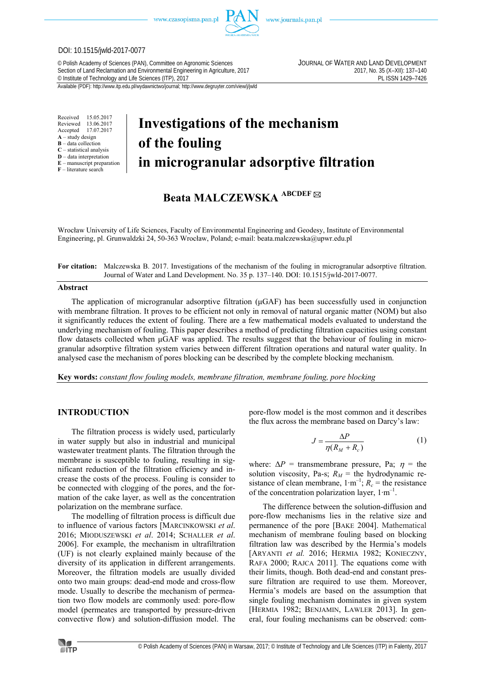www.czasopisma.pan.pl



www.journals.pan.pl

#### DOI: 10.1515/jwld-2017-0077

© Polish Academy of Sciences (PAN), Committee on Agronomic Sciences JOURNAL OF WATER AND LAND DEVELOPMENT Section of Land Reclamation and Environmental Engineering in Agriculture, 2017<br>
C Institute of Technology and Life Sciences (ITP), 2017<br>
PL ISSN 1429-7426 <sup>©</sup> Institute of Technology and Life Sciences (ITP), 2017

Available (PDF): http://www.itp.edu.pl/wydawnictwo/journal; http://www.degruyter.com/view/j/jwld

Received 15.05.2017<br>Reviewed 13.06.2017 Reviewed 13.06.2017<br>Accepted 17.07.2017 Accepted 17.07.2017  $\overrightarrow{A}$  – study design **B** – data collection **C** – statistical analysis **D** – data interpretation **E** – manuscript preparation **F** – literature search

# **Investigations of the mechanism of the fouling in microgranular adsorptive filtration**

# **Beata MALCZEWSKA ABCDEF**

Wrocław University of Life Sciences, Faculty of Environmental Engineering and Geodesy, Institute of Environmental Engineering, pl. Grunwaldzki 24, 50-363 Wrocław, Poland; e-mail: beata.malczewska@upwr.edu.pl

**For citation:** Malczewska B. 2017. Investigations of the mechanism of the fouling in microgranular adsorptive filtration. Journal of Water and Land Development. No. 35 p. 137–140. DOI: 10.1515/jwld-2017-0077.

#### **Abstract**

The application of microgranular adsorptive filtration  $(\mu GAF)$  has been successfully used in conjunction with membrane filtration. It proves to be efficient not only in removal of natural organic matter (NOM) but also it significantly reduces the extent of fouling. There are a few mathematical models evaluated to understand the underlying mechanism of fouling. This paper describes a method of predicting filtration capacities using constant flow datasets collected when μGAF was applied. The results suggest that the behaviour of fouling in microgranular adsorptive filtration system varies between different filtration operations and natural water quality. In analysed case the mechanism of pores blocking can be described by the complete blocking mechanism.

**Key words:** *constant flow fouling models, membrane filtration, membrane fouling, pore blocking* 

# **INTRODUCTION**

The filtration process is widely used, particularly in water supply but also in industrial and municipal wastewater treatment plants. The filtration through the membrane is susceptible to fouling, resulting in significant reduction of the filtration efficiency and increase the costs of the process. Fouling is consider to be connected with clogging of the pores, and the formation of the cake layer, as well as the concentration polarization on the membrane surface.

The modelling of filtration process is difficult due to influence of various factors [MARCINKOWSKI *et al*. 2016; MIODUSZEWSKI *et al*. 2014; SCHALLER *et al*. 2006]. For example, the mechanism in ultrafiltration (UF) is not clearly explained mainly because of the diversity of its application in different arrangements. Moreover, the filtration models are usually divided onto two main groups: dead-end mode and cross-flow mode. Usually to describe the mechanism of permeation two flow models are commonly used: pore-flow model (permeates are transported by pressure-driven convective flow) and solution-diffusion model. The pore-flow model is the most common and it describes the flux across the membrane based on Darcy's law:

$$
J = \frac{\Delta P}{\eta (R_M + R_c)}\tag{1}
$$

where:  $\Delta P$  = transmembrane pressure, Pa;  $\eta$  = the solution viscosity, Pa-s;  $R_M$  = the hydrodynamic resistance of clean membrane,  $1 \cdot m^{-1}$ ;  $R_c$  = the resistance of the concentration polarization layer, 1∙m–1.

The difference between the solution-diffusion and pore-flow mechanisms lies in the relative size and permanence of the pore [BAKE 2004]. Mathematical mechanism of membrane fouling based on blocking filtration law was described by the Hermia's models [ARYANTI *et al.* 2016; HERMIA 1982; KONIECZNY, RAFA 2000; RAJCA 2011]. The equations come with their limits, though. Both dead-end and constant pressure filtration are required to use them. Moreover, Hermia's models are based on the assumption that single fouling mechanism dominates in given system [HERMIA 1982; BENJAMIN, LAWLER 2013]. In general, four fouling mechanisms can be observed: com-

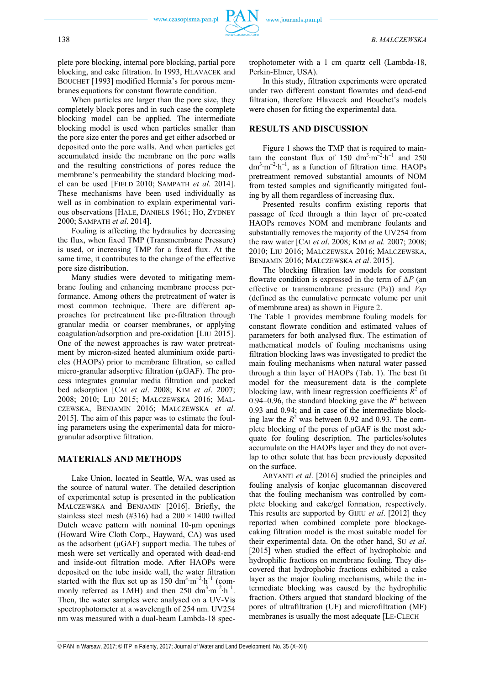plete pore blocking, internal pore blocking, partial pore blocking, and cake filtration. In 1993, HLAVACEK and BOUCHET [1993] modified Hermia's for porous membranes equations for constant flowrate condition.

When particles are larger than the pore size, they completely block pores and in such case the complete blocking model can be applied. The intermediate blocking model is used when particles smaller than the pore size enter the pores and get either adsorbed or deposited onto the pore walls. And when particles get accumulated inside the membrane on the pore walls and the resulting constrictions of pores reduce the membrane's permeability the standard blocking model can be used [FIELD 2010; SAMPATH *et al*. 2014]. These mechanisms have been used individually as well as in combination to explain experimental various observations [HALE, DANIELS 1961; HO, ZYDNEY 2000; SAMPATH *et al*. 2014].

Fouling is affecting the hydraulics by decreasing the flux, when fixed TMP (Transmembrane Pressure) is used, or increasing TMP for a fixed flux. At the same time, it contributes to the change of the effective pore size distribution.

Many studies were devoted to mitigating membrane fouling and enhancing membrane process performance. Among others the pretreatment of water is most common technique. There are different approaches for pretreatment like pre-filtration through granular media or coarser membranes, or applying coagulation/adsorption and pre-oxidation [LIU 2015]. One of the newest approaches is raw water pretreatment by micron-sized heated aluminium oxide particles (HAOPs) prior to membrane filtration, so called micro-granular adsorptive filtration ( $\mu$ GAF). The process integrates granular media filtration and packed bed adsorption [CAI *et al*. 2008; KIM *et al*. 2007; 2008; 2010; LIU 2015; MALCZEWSKA 2016; MAL-CZEWSKA, BENJAMIN 2016; MALCZEWSKA *et al*. 2015]. The aim of this paper was to estimate the fouling parameters using the experimental data for microgranular adsorptive filtration.

## **MATERIALS AND METHODS**

Lake Union, located in Seattle, WA, was used as the source of natural water. The detailed description of experimental setup is presented in the publication MALCZEWSKA and BENJAMIN [2016]. Briefly, the stainless steel mesh (#316) had a  $200 \times 1400$  twilled Dutch weave pattern with nominal 10-μm openings (Howard Wire Cloth Corp., Hayward, CA) was used as the adsorbent (μGAF) support media. The tubes of mesh were set vertically and operated with dead-end and inside-out filtration mode. After HAOPs were deposited on the tube inside wall, the water filtration started with the flux set up as 150 dm<sup>3</sup>·m<sup>-2</sup>·h<sup>-1</sup> (commonly referred as LMH) and then 250 dm<sup>3</sup>⋅m<sup>-2</sup>⋅h<sup>-1</sup>. Then, the water samples were analysed on a UV-Vis spectrophotometer at a wavelength of 254 nm. UV254 nm was measured with a dual-beam Lambda-18 spectrophotometer with a 1 cm quartz cell (Lambda-18, Perkin-Elmer, USA).

In this study, filtration experiments were operated under two different constant flowrates and dead-end filtration, therefore Hlavacek and Bouchet's models were chosen for fitting the experimental data.

# **RESULTS AND DISCUSSION**

Figure 1 shows the TMP that is required to maintain the constant flux of 150 dm<sup>3</sup>⋅m<sup>-2</sup>⋅h<sup>-1</sup> and 250  $dm^3 \cdot m^{-2} \cdot h^{-1}$ , as a function of filtration time. HAOPs pretreatment removed substantial amounts of NOM from tested samples and significantly mitigated fouling by all them regardless of increasing flux.

Presented results confirm existing reports that passage of feed through a thin layer of pre-coated HAOPs removes NOM and membrane foulants and substantially removes the majority of the UV254 from the raw water [CAI *et al*. 2008; KIM *et al.* 2007; 2008; 2010; LIU 2016; MALCZEWSKA 2016; MALCZEWSKA, BENJAMIN 2016; MALCZEWSKA *et al*. 2015].

The blocking filtration law models for constant flowrate condition is expressed in the term of Δ*P* (an effective or transmembrane pressure (Pa)) and *Vsp* (defined as the cumulative permeate volume per unit of membrane area**)** as shown in Figure 2.

The Table 1 provides membrane fouling models for constant flowrate condition and estimated values of parameters for both analysed flux. The estimation of mathematical models of fouling mechanisms using filtration blocking laws was investigated to predict the main fouling mechanisms when natural water passed through a thin layer of HAOPs (Tab. 1). The best fit model for the measurement data is the complete blocking law, with linear regression coefficients  $\overline{R}^2$  of 0.94–0.96, the standard blocking gave the  $R^2$  between 0.93 and 0.94; and in case of the intermediate blocking law the  $R^2$  was between 0.92 and 0.93. The complete blocking of the pores of μGAF is the most adequate for fouling description. The particles/solutes accumulate on the HAOPs layer and they do not overlap to other solute that has been previously deposited on the surface.

ARYANTI *et al*. [2016] studied the principles and fouling analysis of konjac glucomannan discovered that the fouling mechanism was controlled by complete blocking and cake/gel formation, respectively. This results are supported by GIJIU *et al*. [2012] they reported when combined complete pore blockagecaking filtration model is the most suitable model for their experimental data. On the other hand, SU *et al*. [2015] when studied the effect of hydrophobic and hydrophilic fractions on membrane fouling. They discovered that hydrophobic fractions exhibited a cake layer as the major fouling mechanisms, while the intermediate blocking was caused by the hydrophilic fraction. Others argued that standard blocking of the pores of ultrafiltration (UF) and microfiltration (MF) membranes is usually the most adequate [LE-CLECH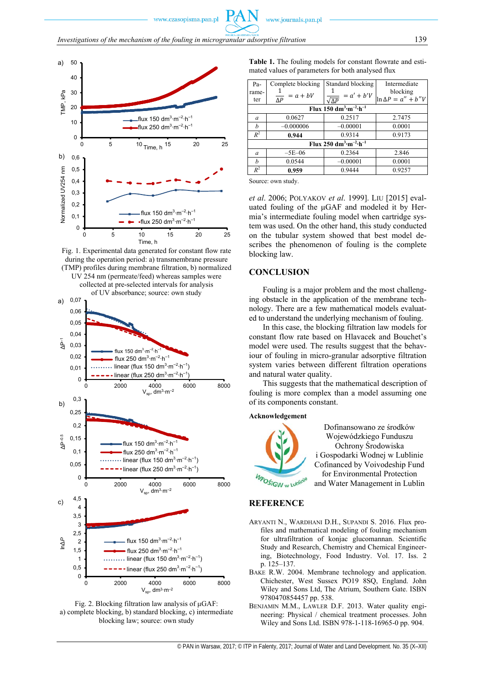

Fig. 1. Experimental data generated for constant flow rate during the operation period: a) transmembrane pressure (TMP) profiles during membrane filtration, b) normalized UV 254 nm (permeate/feed) whereas samples were collected at pre-selected intervals for analysis





**Table 1.** The fouling models for constant flowrate and estimated values of parameters for both analysed flux

| Pa-                                                        | Complete blocking                   | Standard blocking                 | Intermediate                |
|------------------------------------------------------------|-------------------------------------|-----------------------------------|-----------------------------|
| rame-                                                      |                                     |                                   | blocking                    |
| ter                                                        | $= a + bV$<br>$\overline{\Delta P}$ | $= a' + b'V$<br>$\sqrt{\Delta P}$ | $\ln \Delta P = a'' + b''V$ |
| Flux 150 dm <sup>3</sup> ·m <sup>-2</sup> ·h <sup>-1</sup> |                                     |                                   |                             |
| a                                                          | 0.0627                              | 0.2517                            | 2.7475                      |
| h                                                          | $-0.000006$                         | $-0.00001$                        | 0.0001                      |
| $R^2$                                                      | 0.944                               | 0.9314                            | 0.9173                      |
| Flux 250 dm <sup>3</sup> ·m <sup>-2</sup> ·h <sup>-1</sup> |                                     |                                   |                             |
| $\alpha$                                                   | $-5E-06$                            | 0.2364                            | 2.846                       |
| h                                                          | 0.0544                              | $-0.00001$                        | 0.0001                      |
| $R^2$                                                      | 0.959                               | 0.9444                            | 0.9257                      |

Source: own study.

*et al*. 2006; POLYAKOV *et al*. 1999]. LIU [2015] evaluated fouling of the μGAF and modeled it by Hermia's intermediate fouling model when cartridge system was used. On the other hand, this study conducted on the tubular system showed that best model describes the phenomenon of fouling is the complete blocking law.

#### **CONCLUSION**

Fouling is a major problem and the most challenging obstacle in the application of the membrane technology. There are a few mathematical models evaluated to understand the underlying mechanism of fouling.

In this case, the blocking filtration law models for constant flow rate based on Hlavacek and Bouchet's model were used. The results suggest that the behaviour of fouling in micro-granular adsorptive filtration system varies between different filtration operations and natural water quality.

This suggests that the mathematical description of fouling is more complex than a model assuming one of its components constant.

#### **Acknowledgement**



Dofinansowano ze środków Wojewódzkiego Funduszu Ochrony Środowiska i Gospodarki Wodnej w Lublinie Cofinanced by Voivodeship Fund for Environmental Protection and Water Management in Lublin

## **REFERENCE**

- ARYANTI N., WARDHANI D.H., SUPANDI S. 2016. Flux profiles and mathematical modeling of fouling mechanism for ultrafiltration of konjac glucomannan. Scientific Study and Research, Chemistry and Chemical Engineering, Biotechnology, Food Industry. Vol. 17. Iss. 2 p. 125–137.
- BAKE R.W. 2004. Membrane technology and application. Chichester, West Sussex PO19 8SQ, England. John Wiley and Sons Ltd, The Atrium, Southern Gate. ISBN 9780470854457 pp. 538.
- BENJAMIN M.M., LAWLER D.F. 2013. Water quality engineering: Physical / chemical treatment processes. John Wiley and Sons Ltd. ISBN 978-1-118-16965-0 pp. 904.